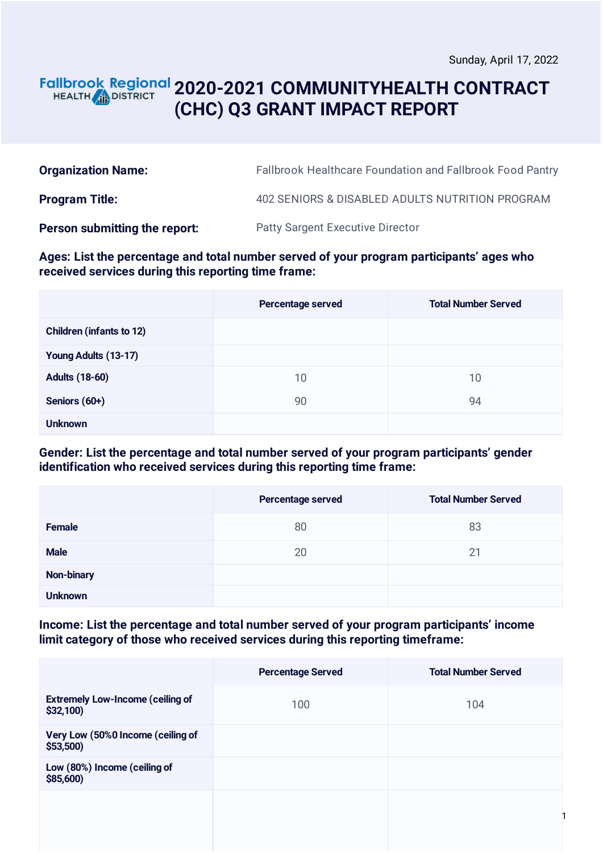### **2020-2021 COMMUNITYHEALTH CONTRACT** HEALTH **AND DISTRICT (CHC) Q3 GRANT IMPACT REPORT**

| <b>Organization Name:</b>     | <b>Fallbrook Healthcare Foundation and Fallbrook Food Pantry</b> |
|-------------------------------|------------------------------------------------------------------|
| <b>Program Title:</b>         | 402 SENIORS & DISABLED ADULTS NUTRITION PROGRAM                  |
| Person submitting the report: | <b>Patty Sargent Executive Director</b>                          |

### **Ages: List the percentage and total number served of your program participants' ages who received services during this reporting time frame:**

|                                 | Percentage served | <b>Total Number Served</b> |
|---------------------------------|-------------------|----------------------------|
| <b>Children (infants to 12)</b> |                   |                            |
| Young Adults (13-17)            |                   |                            |
| <b>Adults (18-60)</b>           | 10                | 10                         |
| Seniors (60+)                   | 90                | 94                         |
| <b>Unknown</b>                  |                   |                            |

### **Gender: List the percentage and total number served of your program participants' gender identification who received services during this reporting time frame:**

|                | Percentage served | <b>Total Number Served</b> |
|----------------|-------------------|----------------------------|
| Female         | 80                | 83                         |
| <b>Male</b>    | 20                | 21                         |
| Non-binary     |                   |                            |
| <b>Unknown</b> |                   |                            |

### **Income: List the percentage and total number served of your program participants' income limit category of those who received services during this reporting timeframe:**

|                                                     | <b>Percentage Served</b> | <b>Total Number Served</b> |
|-----------------------------------------------------|--------------------------|----------------------------|
| <b>Extremely Low-Income (ceiling of</b><br>\$32,100 | 100                      | 104                        |
| Very Low (50%0 Income (ceiling of<br>\$53,500       |                          |                            |
| Low (80%) Income (ceiling of<br>\$85,600)           |                          |                            |
|                                                     |                          |                            |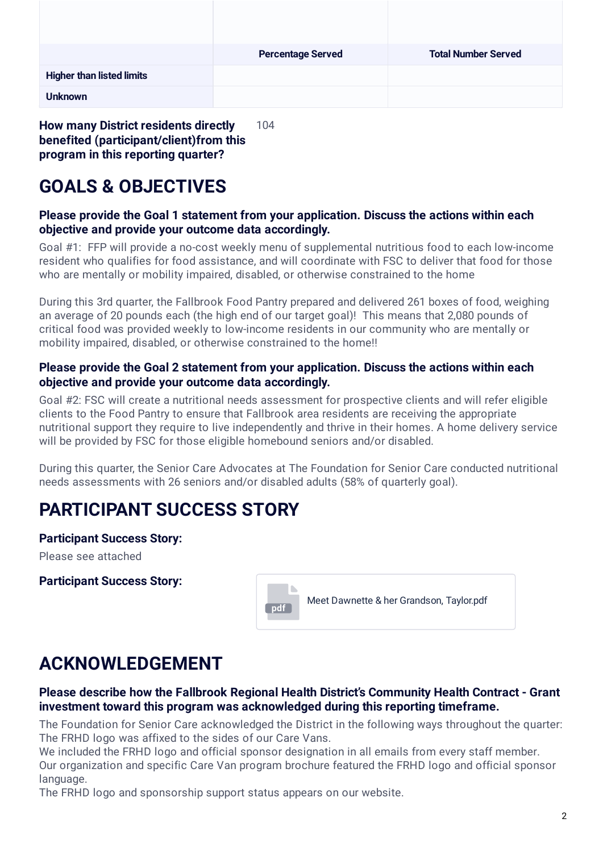|                                  | <b>Percentage Served</b> | <b>Total Number Served</b> |
|----------------------------------|--------------------------|----------------------------|
| <b>Higher than listed limits</b> |                          |                            |
| <b>Unknown</b>                   |                          |                            |

**How many District residents directly benefited (participant/client)from this program in this reporting quarter?** 104

# **GOALS & OBJECTIVES**

### **Please provide the Goal 1 statement from your application. Discuss the actions within each objective and provide your outcome data accordingly.**

Goal #1: FFP will provide a no-cost weekly menu of supplemental nutritious food to each low-income resident who qualifies for food assistance, and will coordinate with FSC to deliver that food for those who are mentally or mobility impaired, disabled, or otherwise constrained to the home

During this 3rd quarter, the Fallbrook Food Pantry prepared and delivered 261 boxes of food, weighing an average of 20 pounds each (the high end of our target goal)! This means that 2,080 pounds of critical food was provided weekly to low-income residents in our community who are mentally or mobility impaired, disabled, or otherwise constrained to the home!!

### **Please provide the Goal 2 statement from your application. Discuss the actions within each objective and provide your outcome data accordingly.**

Goal #2: FSC will create a nutritional needs assessment for prospective clients and will refer eligible clients to the Food Pantry to ensure that Fallbrook area residents are receiving the appropriate nutritional support they require to live independently and thrive in their homes. A home delivery service will be provided by FSC for those eligible homebound seniors and/or disabled.

During this quarter, the Senior Care Advocates at The Foundation for Senior Care conducted nutritional needs assessments with 26 seniors and/or disabled adults (58% of quarterly goal).

## **PARTICIPANT SUCCESS STORY**

### **Participant Success Story:**

Please see attached

**Participant Success Story:**



## **ACKNOWLEDGEMENT**

### **Please describe how the Fallbrook Regional Health District's Community Health Contract - Grant investment toward this program was acknowledged during this reporting timeframe.**

The Foundation for Senior Care acknowledged the District in the following ways throughout the quarter: The FRHD logo was affixed to the sides of our Care Vans.

We included the FRHD logo and official sponsor designation in all emails from every staff member. Our organization and specific Care Van program brochure featured the FRHD logo and official sponsor language.

The FRHD logo and sponsorship support status appears on our website.